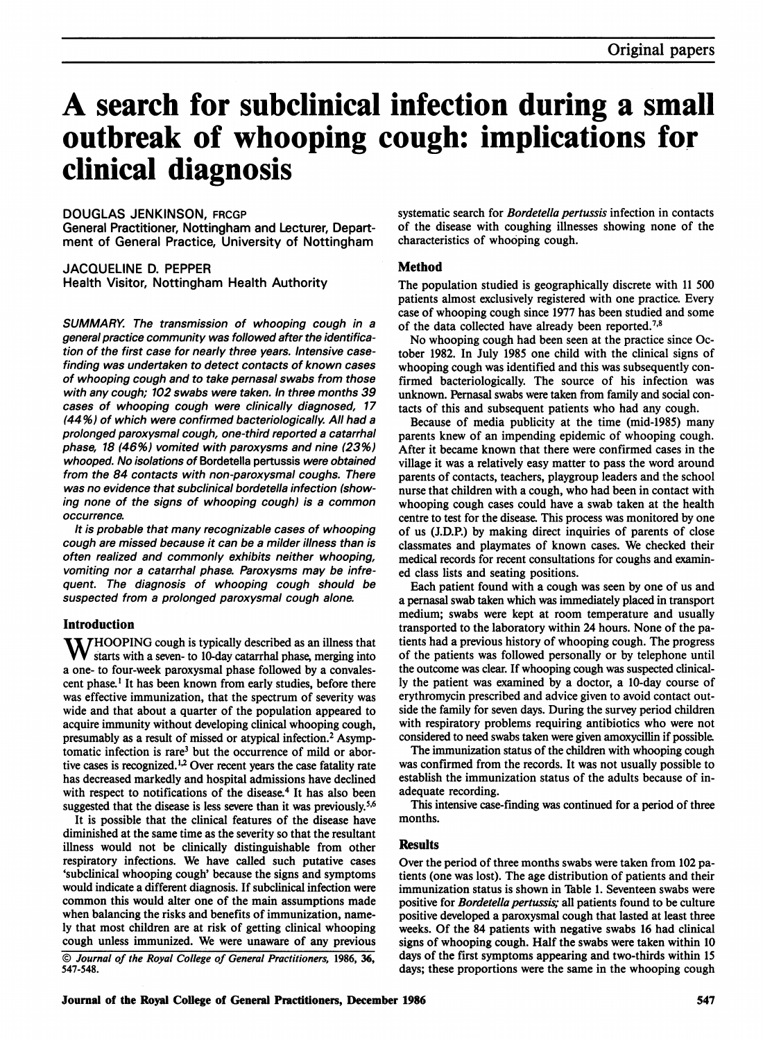# A search for subclinical infection during <sup>a</sup> small outbreak of whooping cough: implications for clinical diagnosis

## DOUGLAS JENKINSON, FRCGP

General Practitioner, Nottingham and Lecturer, Department of General Practice, University of Nottingham

JACQUELINE D. PEPPER Health Visitor, Nottingham Health Authority

SUMMARY. The transmission of whooping cough in a general practice community was followed after the identification of the first case for nearly three years. Intensive casefinding was undertaken to detect contacts of known cases of whooping cough and to take pernasal swabs from those with any cough; 102 swabs were taken. In three months 39 cases of whooping cough were clinically diagnosed, 17 (44%) of which were confirmed bacteriologically. All had a prolonged paroxysmal cough, one-third reported a catarrhal phase, 18 (46%) vomited with paroxysms and nine (23%) whooped. No isolations of Bordetella pertussis were obtained from the 84 contacts with non-paroxysmal coughs. There was no evidence that subclinical bordetella infection (showing none of the signs of whooping cough) is a common occurrence.

It is probable that many recognizable cases of whooping cough are missed because it can be a milder illness than is often realized and commonly exhibits neither whooping, vomiting nor a catarrhal phase. Paroxysms may be infrequent. The diagnosis of whooping cough should be suspected from a prolonged paroxysmal cough alone.

## Introduction

 $\sum$   $HOOPING$  cough is typically described as an illness that  $\bf{V}$  starts with a seven- to 10-day catarrhal phase, merging into a one- to four-week paroxysmal phase followed by a convalescent phase.' It has been known from early studies, before there was effective immunization, that the spectrum of severity was wide and that about a quarter of the population appeared to acquire immunity without developing clinical whooping cough, presumably as a result of missed or atypical infection.2 Asymptomatic infection is rare<sup>3</sup> but the occurrence of mild or abortive cases is recognized.<sup>1,2</sup> Over recent years the case fatality rate has decreased markedly and hospital admissions have declined with respect to notifications of the disease.<sup>4</sup> It has also been suggested that the disease is less severe than it was previously.<sup>5,6</sup>

It is possible that the clinical features of the disease have diminished at the same time as the severity so that the resultant illness would not be clinically distinguishable from other respiratory infections. We have called such putative cases 'subclinical whooping cough' because the signs and symptoms would indicate a different diagnosis. If subclinical infection were common this would alter one of the main assumptions made when balancing the risks and benefits of immunization, namely that most children are at risk of getting clinical whooping cough unless immunized. We were unaware of any previous © Journal of the Royal College of General Practitioners, 1986, 36, 547-548.

systematic search for Bordetella pertussis infection in contacts of the disease with coughing illnesses showing none of the characteristics of whooping cough.

## Method

The population studied is geographically discrete with <sup>11</sup> 500 patients almost exclusively registered with one practice. Every case of whooping cough since 1977 has been studied and some of the data collected have already been reported.78

No whooping cough had been seen at the practice since October 1982. In July 1985 one child with the clinical signs of whooping cough was identified and this was subsequently confirmed bacteriologically. The source of his infection was unknown. Pernasal swabs were taken from family and social contacts of this and subsequent patients who had any cough.

Because of media publicity at the time (mid-1985) many parents knew of an impending epidemic of whooping cough. After it became known that there were confirmed cases in the village it was a relatively easy matter to pass the word around parents of contacts, teachers, playgroup leaders and the school nurse that children with a cough, who had been in contact with whooping cough cases could have a swab taken at the health centre to test for the disease. This process was monitored by one of us (J.D.P.) by making direct inquiries of parents of close classmates and playmates of known cases. We checked their medical records for recent consultations for coughs and examined class lists and seating positions.

Each patient found with a cough was seen by one of us and a pernasal swab taken which was immediately placed in transport medium; swabs were kept at room temperature and usually transported to the laboratory within 24 hours. None of the patients had a previous history of whooping cough. The progress of the patients was followed personally or by telephone until the outcome was clear. If whooping cough was suspected clinically the patient was examined by a doctor, a 10-day course of erythromycin prescribed and advice given to avoid contact outside the family for seven days. During the survey period children with respiratory problems requiring antibiotics who were not considered to need swabs taken were given amoxycillin if possible.

The immunization status of the children with whooping cough was confirmed from the records. It was not usually possible to establish the immunization status of the adults because of inadequate recording.

This intensive case-finding was continued for a period of three months.

# **Results**

Over the period of three months swabs were taken from 102 patients (one was lost). The age distribution of patients and their immunization status is shown in Table 1. Seventeen swabs were positive for *Bordetella pertussis*; all patients found to be culture positive developed a paroxysmal cough that lasted at least three weeks. Of the 84 patients with negative swabs 16 had clinical signs of whooping cough. Half the swabs were taken within 10 days of the first symptoms appearing and two-thirds within 15 days; these proportions were the same in the whooping cough